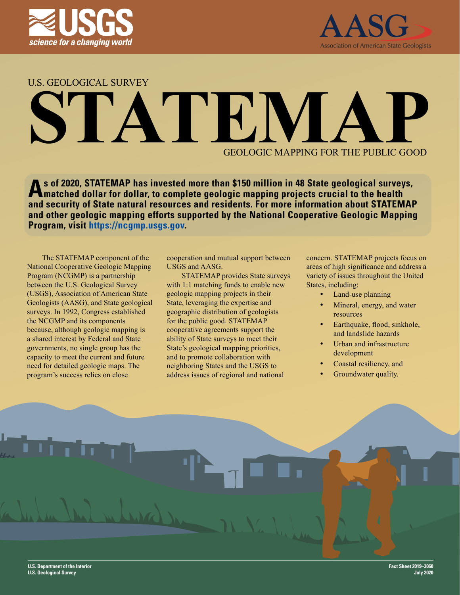



U.S. GEOLOGICAL SURVEY

# **STATEM** GEOLOGIC MAPPING FOR THE PUBLIC GOOD

**As of 2020, STATEMAP has invested more than \$150 million in 48 State geological surveys, matched dollar for dollar, to complete geologic mapping projects crucial to the health and security of State natural resources and residents. For more information about STATEMAP and other geologic mapping efforts supported by the National Cooperative Geologic Mapping Program, visit [https://ncgmp.usgs.gov.](https://ncgmp.usgs.gov)**

The STATEMAP component of the National Cooperative Geologic Mapping Program (NCGMP) is a partnership between the U.S. Geological Survey (USGS), Association of American State Geologists (AASG), and State geological surveys. In 1992, Congress established the NCGMP and its components because, although geologic mapping is a shared interest by Federal and State governments, no single group has the capacity to meet the current and future need for detailed geologic maps. The program's success relies on close

cooperation and mutual support between USGS and AASG.

STATEMAP provides State surveys with 1:1 matching funds to enable new geologic mapping projects in their State, leveraging the expertise and geographic distribution of geologists for the public good. STATEMAP cooperative agreements support the ability of State surveys to meet their State's geological mapping priorities, and to promote collaboration with neighboring States and the USGS to address issues of regional and national

concern. STATEMAP projects focus on areas of high significance and address a variety of issues throughout the United States, including:

- Land-use planning
- Mineral, energy, and water resources
- Earthquake, flood, sinkhole, and landslide hazards
- Urban and infrastructure development
- Coastal resiliency, and
- Groundwater quality.

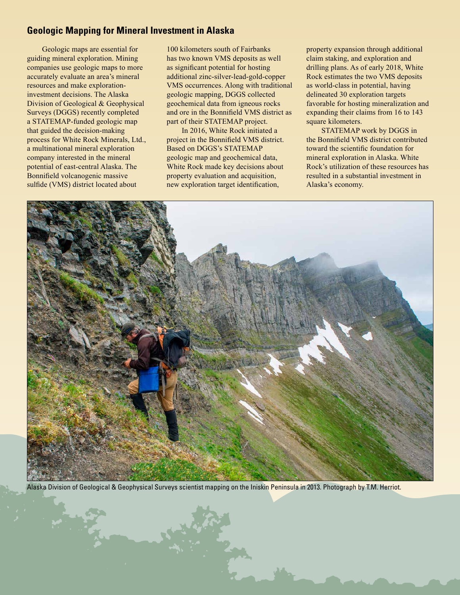## **Geologic Mapping for Mineral Investment in Alaska**

Geologic maps are essential for guiding mineral exploration. Mining companies use geologic maps to more accurately evaluate an area's mineral resources and make explorationinvestment decisions. The Alaska Division of Geological & Geophysical Surveys (DGGS) recently completed a STATEMAP-funded geologic map that guided the decision-making process for White Rock Minerals, Ltd., a multinational mineral exploration company interested in the mineral potential of east-central Alaska. The Bonnifield volcanogenic massive sulfide (VMS) district located about

100 kilometers south of Fairbanks has two known VMS deposits as well as significant potential for hosting additional zinc-silver-lead-gold-copper VMS occurrences. Along with traditional geologic mapping, DGGS collected geochemical data from igneous rocks and ore in the Bonnifield VMS district as part of their STATEMAP project.

In 2016, White Rock initiated a project in the Bonnifield VMS district. Based on DGGS's STATEMAP geologic map and geochemical data, White Rock made key decisions about property evaluation and acquisition, new exploration target identification,

property expansion through additional claim staking, and exploration and drilling plans. As of early 2018, White Rock estimates the two VMS deposits as world-class in potential, having delineated 30 exploration targets favorable for hosting mineralization and expanding their claims from 16 to 143 square kilometers.

STATEMAP work by DGGS in the Bonnifield VMS district contributed toward the scientific foundation for mineral exploration in Alaska. White Rock's utilization of these resources has resulted in a substantial investment in Alaska's economy.



Alaska Division of Geological & Geophysical Surveys scientist mapping on the Iniskin Peninsula in 2013. Photograph by T.M. Herriot.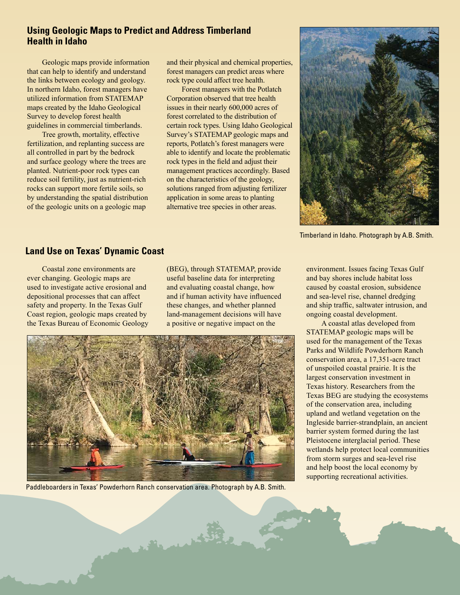## **Using Geologic Maps to Predict and Address Timberland Health in Idaho**

Geologic maps provide information that can help to identify and understand the links between ecology and geology. In northern Idaho, forest managers have utilized information from STATEMAP maps created by the Idaho Geological Survey to develop forest health guidelines in commercial timberlands.

Tree growth, mortality, effective fertilization, and replanting success are all controlled in part by the bedrock and surface geology where the trees are planted. Nutrient-poor rock types can reduce soil fertility, just as nutrient-rich rocks can support more fertile soils, so by understanding the spatial distribution of the geologic units on a geologic map

and their physical and chemical properties, forest managers can predict areas where rock type could affect tree health.

Forest managers with the Potlatch Corporation observed that tree health issues in their nearly 600,000 acres of forest correlated to the distribution of certain rock types. Using Idaho Geological Survey's STATEMAP geologic maps and reports, Potlatch's forest managers were able to identify and locate the problematic rock types in the field and adjust their management practices accordingly. Based on the characteristics of the geology, solutions ranged from adjusting fertilizer application in some areas to planting alternative tree species in other areas.



Timberland in Idaho. Photograph by A.B. Smith.

#### **Land Use on Texas' Dynamic Coast**

Coastal zone environments are ever changing. Geologic maps are used to investigate active erosional and depositional processes that can affect safety and property. In the Texas Gulf Coast region, geologic maps created by the Texas Bureau of Economic Geology (BEG), through STATEMAP, provide useful baseline data for interpreting and evaluating coastal change, how and if human activity have influenced these changes, and whether planned land-management decisions will have a positive or negative impact on the



Paddleboarders in Texas' Powderhorn Ranch conservation area. Photograph by A.B. Smith.

March 150

environment. Issues facing Texas Gulf and bay shores include habitat loss caused by coastal erosion, subsidence and sea-level rise, channel dredging and ship traffic, saltwater intrusion, and ongoing coastal development.

A coastal atlas developed from STATEMAP geologic maps will be used for the management of the Texas Parks and Wildlife Powderhorn Ranch conservation area, a 17,351-acre tract of unspoiled coastal prairie. It is the largest conservation investment in Texas history. Researchers from the Texas BEG are studying the ecosystems of the conservation area, including upland and wetland vegetation on the Ingleside barrier-strandplain, an ancient barrier system formed during the last Pleistocene interglacial period. These wetlands help protect local communities from storm surges and sea-level rise and help boost the local economy by supporting recreational activities.